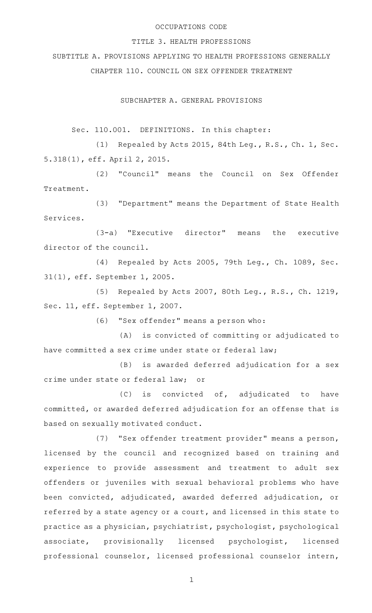### OCCUPATIONS CODE

### TITLE 3. HEALTH PROFESSIONS

SUBTITLE A. PROVISIONS APPLYING TO HEALTH PROFESSIONS GENERALLY CHAPTER 110. COUNCIL ON SEX OFFENDER TREATMENT

SUBCHAPTER A. GENERAL PROVISIONS

Sec. 110.001. DEFINITIONS. In this chapter:

(1) Repealed by Acts 2015, 84th Leg., R.S., Ch. 1, Sec. 5.318(1), eff. April 2, 2015.

(2) "Council" means the Council on Sex Offender Treatment.

(3) "Department" means the Department of State Health Services.

 $(3-a)$  "Executive director" means the executive director of the council.

(4) Repealed by Acts 2005, 79th Leg., Ch. 1089, Sec. 31(1), eff. September 1, 2005.

(5) Repealed by Acts 2007, 80th Leg., R.S., Ch. 1219, Sec. 11, eff. September 1, 2007.

(6) "Sex offender" means a person who:

(A) is convicted of committing or adjudicated to have committed a sex crime under state or federal law;

(B) is awarded deferred adjudication for a sex crime under state or federal law; or

 $(C)$  is convicted of, adjudicated to have committed, or awarded deferred adjudication for an offense that is based on sexually motivated conduct.

(7) "Sex offender treatment provider" means a person, licensed by the council and recognized based on training and experience to provide assessment and treatment to adult sex offenders or juveniles with sexual behavioral problems who have been convicted, adjudicated, awarded deferred adjudication, or referred by a state agency or a court, and licensed in this state to practice as a physician, psychiatrist, psychologist, psychological associate, provisionally licensed psychologist, licensed professional counselor, licensed professional counselor intern,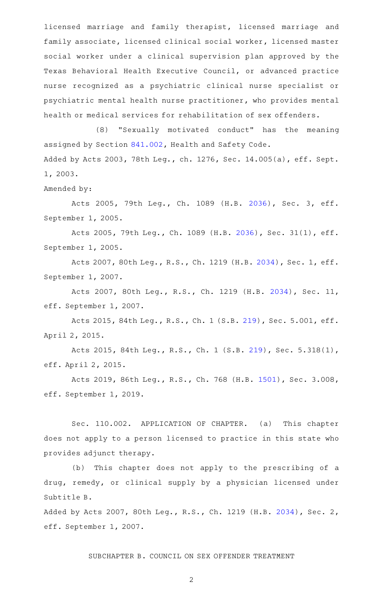licensed marriage and family therapist, licensed marriage and family associate, licensed clinical social worker, licensed master social worker under a clinical supervision plan approved by the Texas Behavioral Health Executive Council, or advanced practice nurse recognized as a psychiatric clinical nurse specialist or psychiatric mental health nurse practitioner, who provides mental health or medical services for rehabilitation of sex offenders.

(8) "Sexually motivated conduct" has the meaning assigned by Section [841.002](http://www.statutes.legis.state.tx.us/GetStatute.aspx?Code=HS&Value=841.002), Health and Safety Code. Added by Acts 2003, 78th Leg., ch. 1276, Sec. 14.005(a), eff. Sept. 1, 2003.

Amended by:

Acts 2005, 79th Leg., Ch. 1089 (H.B. [2036](http://www.legis.state.tx.us/tlodocs/79R/billtext/html/HB02036F.HTM)), Sec. 3, eff. September 1, 2005.

Acts 2005, 79th Leg., Ch. 1089 (H.B. [2036](http://www.legis.state.tx.us/tlodocs/79R/billtext/html/HB02036F.HTM)), Sec. 31(1), eff. September 1, 2005.

Acts 2007, 80th Leg., R.S., Ch. 1219 (H.B. [2034](http://www.legis.state.tx.us/tlodocs/80R/billtext/html/HB02034F.HTM)), Sec. 1, eff. September 1, 2007.

Acts 2007, 80th Leg., R.S., Ch. 1219 (H.B. [2034](http://www.legis.state.tx.us/tlodocs/80R/billtext/html/HB02034F.HTM)), Sec. 11, eff. September 1, 2007.

Acts 2015, 84th Leg., R.S., Ch. 1 (S.B. [219](http://www.legis.state.tx.us/tlodocs/84R/billtext/html/SB00219F.HTM)), Sec. 5.001, eff. April 2, 2015.

Acts 2015, 84th Leg., R.S., Ch. 1 (S.B. [219](http://www.legis.state.tx.us/tlodocs/84R/billtext/html/SB00219F.HTM)), Sec. 5.318(1), eff. April 2, 2015.

Acts 2019, 86th Leg., R.S., Ch. 768 (H.B. [1501\)](http://www.legis.state.tx.us/tlodocs/86R/billtext/html/HB01501F.HTM), Sec. 3.008, eff. September 1, 2019.

Sec. 110.002. APPLICATION OF CHAPTER. (a) This chapter does not apply to a person licensed to practice in this state who provides adjunct therapy.

(b) This chapter does not apply to the prescribing of a drug, remedy, or clinical supply by a physician licensed under Subtitle B.

Added by Acts 2007, 80th Leg., R.S., Ch. 1219 (H.B. [2034\)](http://www.legis.state.tx.us/tlodocs/80R/billtext/html/HB02034F.HTM), Sec. 2, eff. September 1, 2007.

SUBCHAPTER B. COUNCIL ON SEX OFFENDER TREATMENT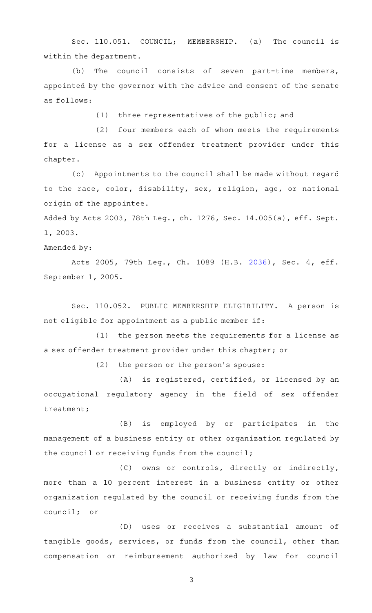Sec. 110.051. COUNCIL; MEMBERSHIP. (a) The council is within the department.

(b) The council consists of seven part-time members, appointed by the governor with the advice and consent of the senate as follows:

 $(1)$  three representatives of the public; and

(2) four members each of whom meets the requirements for a license as a sex offender treatment provider under this chapter.

(c) Appointments to the council shall be made without regard to the race, color, disability, sex, religion, age, or national origin of the appointee.

Added by Acts 2003, 78th Leg., ch. 1276, Sec. 14.005(a), eff. Sept. 1, 2003.

Amended by:

Acts 2005, 79th Leg., Ch. 1089 (H.B. [2036](http://www.legis.state.tx.us/tlodocs/79R/billtext/html/HB02036F.HTM)), Sec. 4, eff. September 1, 2005.

Sec. 110.052. PUBLIC MEMBERSHIP ELIGIBILITY. A person is not eligible for appointment as a public member if:

 $(1)$  the person meets the requirements for a license as a sex offender treatment provider under this chapter; or

(2) the person or the person's spouse:

(A) is registered, certified, or licensed by an occupational regulatory agency in the field of sex offender treatment;

(B) is employed by or participates in the management of a business entity or other organization regulated by the council or receiving funds from the council;

(C) owns or controls, directly or indirectly, more than a 10 percent interest in a business entity or other organization regulated by the council or receiving funds from the council; or

(D) uses or receives a substantial amount of tangible goods, services, or funds from the council, other than compensation or reimbursement authorized by law for council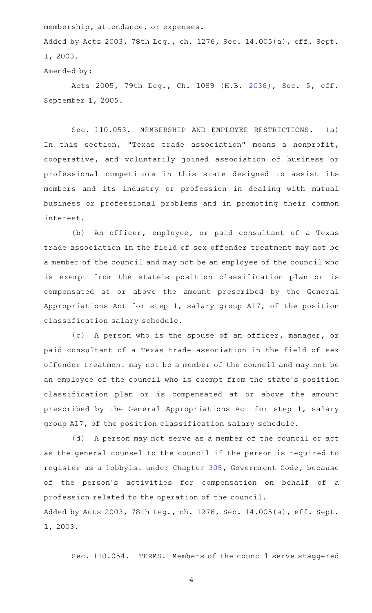membership, attendance, or expenses.

Added by Acts 2003, 78th Leg., ch. 1276, Sec. 14.005(a), eff. Sept. 1, 2003.

Amended by:

Acts 2005, 79th Leg., Ch. 1089 (H.B. [2036](http://www.legis.state.tx.us/tlodocs/79R/billtext/html/HB02036F.HTM)), Sec. 5, eff. September 1, 2005.

Sec. 110.053. MEMBERSHIP AND EMPLOYEE RESTRICTIONS. (a) In this section, "Texas trade association" means a nonprofit, cooperative, and voluntarily joined association of business or professional competitors in this state designed to assist its members and its industry or profession in dealing with mutual business or professional problems and in promoting their common interest.

(b) An officer, employee, or paid consultant of a Texas trade association in the field of sex offender treatment may not be a member of the council and may not be an employee of the council who is exempt from the state's position classification plan or is compensated at or above the amount prescribed by the General Appropriations Act for step 1, salary group A17, of the position classification salary schedule.

(c) A person who is the spouse of an officer, manager, or paid consultant of a Texas trade association in the field of sex offender treatment may not be a member of the council and may not be an employee of the council who is exempt from the state 's position classification plan or is compensated at or above the amount prescribed by the General Appropriations Act for step 1, salary group A17, of the position classification salary schedule.

(d) A person may not serve as a member of the council or act as the general counsel to the council if the person is required to register as a lobbyist under Chapter [305,](http://www.statutes.legis.state.tx.us/GetStatute.aspx?Code=GV&Value=305) Government Code, because of the person 's activities for compensation on behalf of a profession related to the operation of the council. Added by Acts 2003, 78th Leg., ch. 1276, Sec. 14.005(a), eff. Sept. 1, 2003.

Sec. 110.054. TERMS. Members of the council serve staggered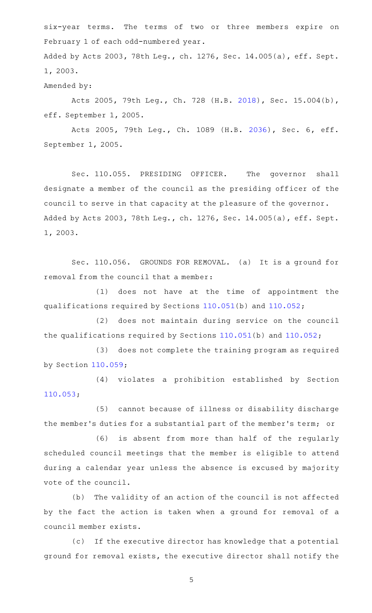six-year terms. The terms of two or three members expire on February 1 of each odd-numbered year.

Added by Acts 2003, 78th Leg., ch. 1276, Sec. 14.005(a), eff. Sept. 1, 2003.

Amended by:

Acts 2005, 79th Leg., Ch. 728 (H.B. [2018\)](http://www.legis.state.tx.us/tlodocs/79R/billtext/html/HB02018F.HTM), Sec. 15.004(b), eff. September 1, 2005.

Acts 2005, 79th Leg., Ch. 1089 (H.B. [2036](http://www.legis.state.tx.us/tlodocs/79R/billtext/html/HB02036F.HTM)), Sec. 6, eff. September 1, 2005.

Sec. 110.055. PRESIDING OFFICER. The governor shall designate a member of the council as the presiding officer of the council to serve in that capacity at the pleasure of the governor. Added by Acts 2003, 78th Leg., ch. 1276, Sec. 14.005(a), eff. Sept. 1, 2003.

Sec. 110.056. GROUNDS FOR REMOVAL. (a) It is a ground for removal from the council that a member:

 $(1)$  does not have at the time of appointment the qualifications required by Sections [110.051\(](http://www.statutes.legis.state.tx.us/GetStatute.aspx?Code=OC&Value=110.051)b) and [110.052;](http://www.statutes.legis.state.tx.us/GetStatute.aspx?Code=OC&Value=110.052)

(2) does not maintain during service on the council the qualifications required by Sections [110.051](http://www.statutes.legis.state.tx.us/GetStatute.aspx?Code=OC&Value=110.051)(b) and [110.052](http://www.statutes.legis.state.tx.us/GetStatute.aspx?Code=OC&Value=110.052);

(3) does not complete the training program as required by Section [110.059;](http://www.statutes.legis.state.tx.us/GetStatute.aspx?Code=OC&Value=110.059)

(4) violates a prohibition established by Section [110.053;](http://www.statutes.legis.state.tx.us/GetStatute.aspx?Code=OC&Value=110.053)

(5) cannot because of illness or disability discharge the member 's duties for a substantial part of the member 's term; or

(6) is absent from more than half of the regularly scheduled council meetings that the member is eligible to attend during a calendar year unless the absence is excused by majority vote of the council.

(b) The validity of an action of the council is not affected by the fact the action is taken when a ground for removal of a council member exists.

(c) If the executive director has knowledge that a potential ground for removal exists, the executive director shall notify the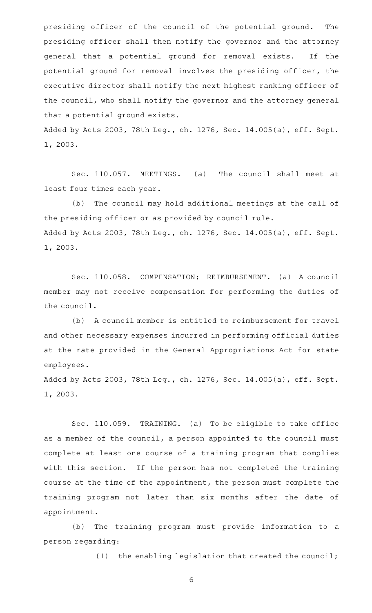presiding officer of the council of the potential ground. The presiding officer shall then notify the governor and the attorney general that a potential ground for removal exists. If the potential ground for removal involves the presiding officer, the executive director shall notify the next highest ranking officer of the council, who shall notify the governor and the attorney general that a potential ground exists.

Added by Acts 2003, 78th Leg., ch. 1276, Sec. 14.005(a), eff. Sept. 1, 2003.

Sec. 110.057. MEETINGS. (a) The council shall meet at least four times each year.

(b) The council may hold additional meetings at the call of the presiding officer or as provided by council rule. Added by Acts 2003, 78th Leg., ch. 1276, Sec. 14.005(a), eff. Sept. 1, 2003.

Sec. 110.058. COMPENSATION; REIMBURSEMENT. (a) A council member may not receive compensation for performing the duties of the council.

(b) A council member is entitled to reimbursement for travel and other necessary expenses incurred in performing official duties at the rate provided in the General Appropriations Act for state employees.

Added by Acts 2003, 78th Leg., ch. 1276, Sec. 14.005(a), eff. Sept. 1, 2003.

Sec. 110.059. TRAINING. (a) To be eligible to take office as a member of the council, a person appointed to the council must complete at least one course of a training program that complies with this section. If the person has not completed the training course at the time of the appointment, the person must complete the training program not later than six months after the date of appointment.

(b) The training program must provide information to a person regarding:

 $(1)$  the enabling legislation that created the council;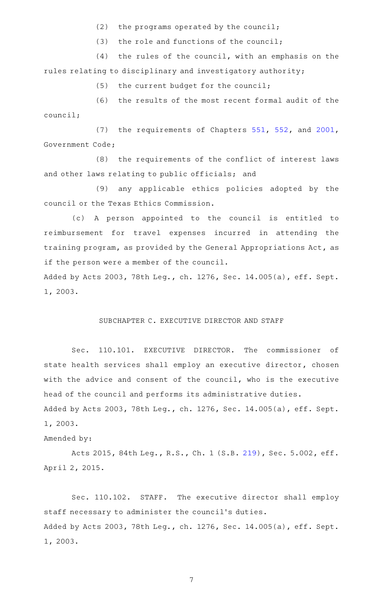(2) the programs operated by the council;

(3) the role and functions of the council;

 $(4)$  the rules of the council, with an emphasis on the rules relating to disciplinary and investigatory authority;

 $(5)$  the current budget for the council;

(6) the results of the most recent formal audit of the council;

(7) the requirements of Chapters [551,](http://www.statutes.legis.state.tx.us/GetStatute.aspx?Code=GV&Value=551) [552,](http://www.statutes.legis.state.tx.us/GetStatute.aspx?Code=GV&Value=552) and [2001](http://www.statutes.legis.state.tx.us/GetStatute.aspx?Code=GV&Value=2001), Government Code;

(8) the requirements of the conflict of interest laws and other laws relating to public officials; and

(9) any applicable ethics policies adopted by the council or the Texas Ethics Commission.

(c)AAA person appointed to the council is entitled to reimbursement for travel expenses incurred in attending the training program, as provided by the General Appropriations Act, as if the person were a member of the council.

Added by Acts 2003, 78th Leg., ch. 1276, Sec. 14.005(a), eff. Sept. 1, 2003.

#### SUBCHAPTER C. EXECUTIVE DIRECTOR AND STAFF

Sec. 110.101. EXECUTIVE DIRECTOR. The commissioner of state health services shall employ an executive director, chosen with the advice and consent of the council, who is the executive head of the council and performs its administrative duties. Added by Acts 2003, 78th Leg., ch. 1276, Sec. 14.005(a), eff. Sept. 1, 2003.

#### Amended by:

Acts 2015, 84th Leg., R.S., Ch. 1 (S.B. [219](http://www.legis.state.tx.us/tlodocs/84R/billtext/html/SB00219F.HTM)), Sec. 5.002, eff. April 2, 2015.

Sec. 110.102. STAFF. The executive director shall employ staff necessary to administer the council 's duties. Added by Acts 2003, 78th Leg., ch. 1276, Sec. 14.005(a), eff. Sept. 1, 2003.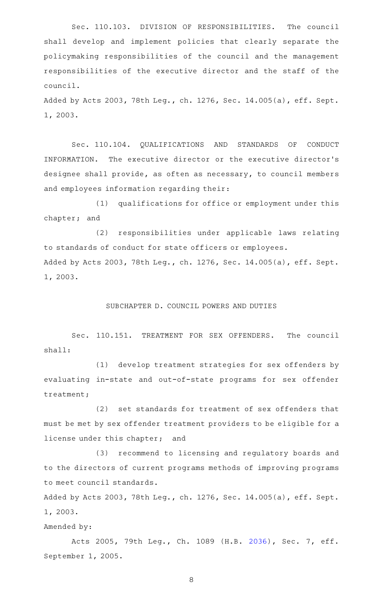Sec. 110.103. DIVISION OF RESPONSIBILITIES. The council shall develop and implement policies that clearly separate the policymaking responsibilities of the council and the management responsibilities of the executive director and the staff of the council.

Added by Acts 2003, 78th Leg., ch. 1276, Sec. 14.005(a), eff. Sept. 1, 2003.

Sec. 110.104. QUALIFICATIONS AND STANDARDS OF CONDUCT INFORMATION. The executive director or the executive director 's designee shall provide, as often as necessary, to council members and employees information regarding their:

(1) qualifications for office or employment under this chapter; and

(2) responsibilities under applicable laws relating to standards of conduct for state officers or employees. Added by Acts 2003, 78th Leg., ch. 1276, Sec. 14.005(a), eff. Sept. 1, 2003.

#### SUBCHAPTER D. COUNCIL POWERS AND DUTIES

Sec. 110.151. TREATMENT FOR SEX OFFENDERS. The council shall:

(1) develop treatment strategies for sex offenders by evaluating in-state and out-of-state programs for sex offender treatment;

(2) set standards for treatment of sex offenders that must be met by sex offender treatment providers to be eligible for a license under this chapter; and

(3) recommend to licensing and regulatory boards and to the directors of current programs methods of improving programs to meet council standards.

Added by Acts 2003, 78th Leg., ch. 1276, Sec. 14.005(a), eff. Sept. 1, 2003.

Amended by:

Acts 2005, 79th Leg., Ch. 1089 (H.B. [2036](http://www.legis.state.tx.us/tlodocs/79R/billtext/html/HB02036F.HTM)), Sec. 7, eff. September 1, 2005.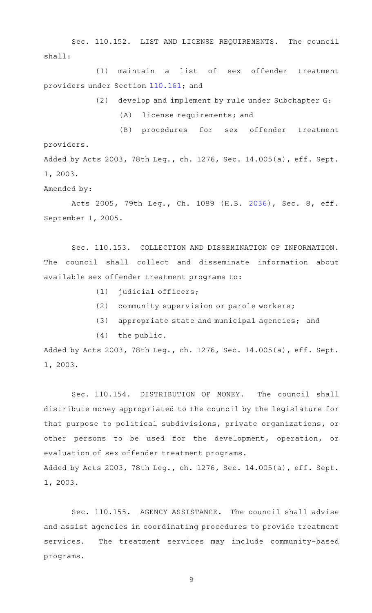Sec. 110.152. LIST AND LICENSE REQUIREMENTS. The council shall:

(1) maintain a list of sex offender treatment providers under Section [110.161](http://www.statutes.legis.state.tx.us/GetStatute.aspx?Code=OC&Value=110.161); and

 $(2)$  develop and implement by rule under Subchapter G:

(A) license requirements; and

(B) procedures for sex offender treatment providers. Added by Acts 2003, 78th Leg., ch. 1276, Sec. 14.005(a), eff. Sept.

1, 2003.

Amended by:

Acts 2005, 79th Leg., Ch. 1089 (H.B. [2036](http://www.legis.state.tx.us/tlodocs/79R/billtext/html/HB02036F.HTM)), Sec. 8, eff. September 1, 2005.

Sec. 110.153. COLLECTION AND DISSEMINATION OF INFORMATION. The council shall collect and disseminate information about available sex offender treatment programs to:

- $(1)$  judicial officers;
- $(2)$  community supervision or parole workers;
- (3) appropriate state and municipal agencies; and
- $(4)$  the public.

Added by Acts 2003, 78th Leg., ch. 1276, Sec. 14.005(a), eff. Sept. 1, 2003.

Sec. 110.154. DISTRIBUTION OF MONEY. The council shall distribute money appropriated to the council by the legislature for that purpose to political subdivisions, private organizations, or other persons to be used for the development, operation, or evaluation of sex offender treatment programs. Added by Acts 2003, 78th Leg., ch. 1276, Sec. 14.005(a), eff. Sept. 1, 2003.

Sec. 110.155. AGENCY ASSISTANCE. The council shall advise and assist agencies in coordinating procedures to provide treatment services. The treatment services may include community-based programs.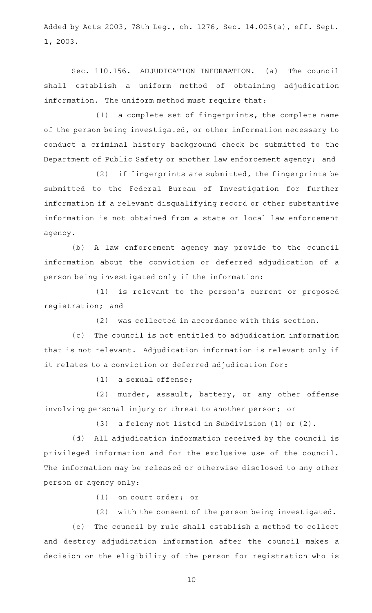Added by Acts 2003, 78th Leg., ch. 1276, Sec. 14.005(a), eff. Sept. 1, 2003.

Sec. 110.156. ADJUDICATION INFORMATION. (a) The council shall establish a uniform method of obtaining adjudication information. The uniform method must require that:

 $(1)$  a complete set of fingerprints, the complete name of the person being investigated, or other information necessary to conduct a criminal history background check be submitted to the Department of Public Safety or another law enforcement agency; and

(2) if fingerprints are submitted, the fingerprints be submitted to the Federal Bureau of Investigation for further information if a relevant disqualifying record or other substantive information is not obtained from a state or local law enforcement agency.

(b) A law enforcement agency may provide to the council information about the conviction or deferred adjudication of a person being investigated only if the information:

(1) is relevant to the person's current or proposed registration; and

(2) was collected in accordance with this section.

(c) The council is not entitled to adjudication information that is not relevant. Adjudication information is relevant only if it relates to a conviction or deferred adjudication for:

 $(1)$  a sexual offense;

(2) murder, assault, battery, or any other offense involving personal injury or threat to another person; or

(3) a felony not listed in Subdivision (1) or (2).

(d) All adjudication information received by the council is privileged information and for the exclusive use of the council. The information may be released or otherwise disclosed to any other person or agency only:

(1) on court order; or

(2) with the consent of the person being investigated.

(e) The council by rule shall establish a method to collect and destroy adjudication information after the council makes a decision on the eligibility of the person for registration who is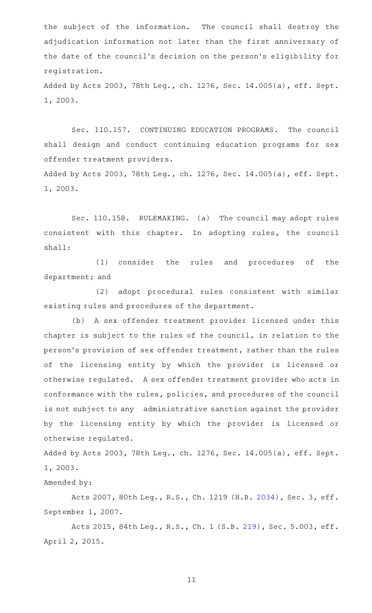the subject of the information. The council shall destroy the adjudication information not later than the first anniversary of the date of the council 's decision on the person 's eligibility for registration.

Added by Acts 2003, 78th Leg., ch. 1276, Sec. 14.005(a), eff. Sept. 1, 2003.

Sec. 110.157. CONTINUING EDUCATION PROGRAMS. The council shall design and conduct continuing education programs for sex offender treatment providers.

Added by Acts 2003, 78th Leg., ch. 1276, Sec. 14.005(a), eff. Sept. 1, 2003.

Sec. 110.158. RULEMAKING. (a) The council may adopt rules consistent with this chapter. In adopting rules, the council shall:

(1) consider the rules and procedures of the department; and

(2) adopt procedural rules consistent with similar existing rules and procedures of the department.

(b) A sex offender treatment provider licensed under this chapter is subject to the rules of the council, in relation to the person 's provision of sex offender treatment, rather than the rules of the licensing entity by which the provider is licensed or otherwise regulated. A sex offender treatment provider who acts in conformance with the rules, policies, and procedures of the council is not subject to any administrative sanction against the provider by the licensing entity by which the provider is licensed or otherwise regulated.

Added by Acts 2003, 78th Leg., ch. 1276, Sec. 14.005(a), eff. Sept. 1, 2003.

Amended by:

Acts 2007, 80th Leg., R.S., Ch. 1219 (H.B. [2034](http://www.legis.state.tx.us/tlodocs/80R/billtext/html/HB02034F.HTM)), Sec. 3, eff. September 1, 2007.

Acts 2015, 84th Leg., R.S., Ch. 1 (S.B. [219](http://www.legis.state.tx.us/tlodocs/84R/billtext/html/SB00219F.HTM)), Sec. 5.003, eff. April 2, 2015.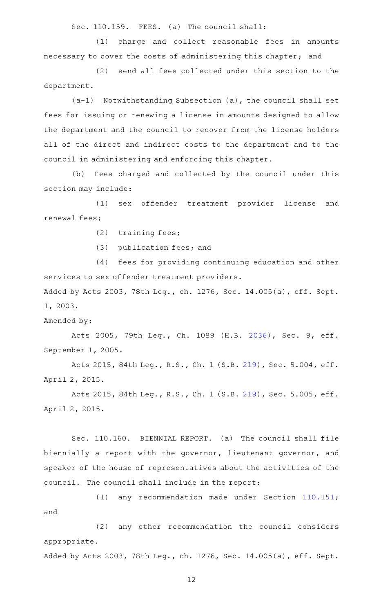Sec. 110.159. FEES. (a) The council shall:

(1) charge and collect reasonable fees in amounts necessary to cover the costs of administering this chapter; and

(2) send all fees collected under this section to the department.

 $(a-1)$  Notwithstanding Subsection  $(a)$ , the council shall set fees for issuing or renewing a license in amounts designed to allow the department and the council to recover from the license holders all of the direct and indirect costs to the department and to the council in administering and enforcing this chapter.

(b) Fees charged and collected by the council under this section may include:

(1) sex offender treatment provider license and renewal fees;

 $(2)$  training fees;

 $(3)$  publication fees; and

(4) fees for providing continuing education and other services to sex offender treatment providers.

Added by Acts 2003, 78th Leg., ch. 1276, Sec. 14.005(a), eff. Sept. 1, 2003.

Amended by:

Acts 2005, 79th Leg., Ch. 1089 (H.B. [2036](http://www.legis.state.tx.us/tlodocs/79R/billtext/html/HB02036F.HTM)), Sec. 9, eff. September 1, 2005.

Acts 2015, 84th Leg., R.S., Ch. 1 (S.B. [219](http://www.legis.state.tx.us/tlodocs/84R/billtext/html/SB00219F.HTM)), Sec. 5.004, eff. April 2, 2015.

Acts 2015, 84th Leg., R.S., Ch. 1 (S.B. [219](http://www.legis.state.tx.us/tlodocs/84R/billtext/html/SB00219F.HTM)), Sec. 5.005, eff. April 2, 2015.

Sec. 110.160. BIENNIAL REPORT. (a) The council shall file biennially a report with the governor, lieutenant governor, and speaker of the house of representatives about the activities of the council. The council shall include in the report:

(1) any recommendation made under Section [110.151](http://www.statutes.legis.state.tx.us/GetStatute.aspx?Code=OC&Value=110.151); and

(2) any other recommendation the council considers appropriate.

Added by Acts 2003, 78th Leg., ch. 1276, Sec. 14.005(a), eff. Sept.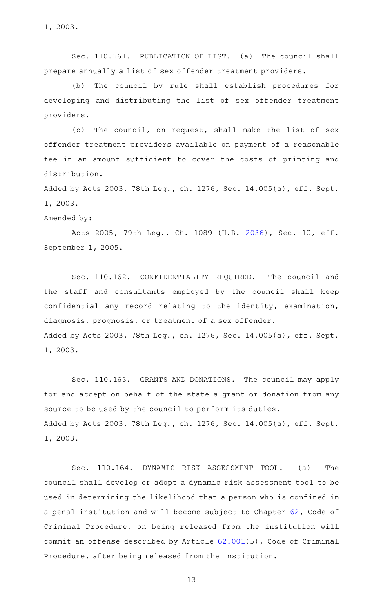1, 2003.

Sec. 110.161. PUBLICATION OF LIST. (a) The council shall prepare annually a list of sex offender treatment providers.

(b) The council by rule shall establish procedures for developing and distributing the list of sex offender treatment providers.

(c) The council, on request, shall make the list of sex offender treatment providers available on payment of a reasonable fee in an amount sufficient to cover the costs of printing and distribution.

Added by Acts 2003, 78th Leg., ch. 1276, Sec. 14.005(a), eff. Sept. 1, 2003.

Amended by:

Acts 2005, 79th Leg., Ch. 1089 (H.B. [2036](http://www.legis.state.tx.us/tlodocs/79R/billtext/html/HB02036F.HTM)), Sec. 10, eff. September 1, 2005.

Sec. 110.162. CONFIDENTIALITY REQUIRED. The council and the staff and consultants employed by the council shall keep confidential any record relating to the identity, examination, diagnosis, prognosis, or treatment of a sex offender. Added by Acts 2003, 78th Leg., ch. 1276, Sec. 14.005(a), eff. Sept. 1, 2003.

Sec. 110.163. GRANTS AND DONATIONS. The council may apply for and accept on behalf of the state a grant or donation from any source to be used by the council to perform its duties. Added by Acts 2003, 78th Leg., ch. 1276, Sec. 14.005(a), eff. Sept. 1, 2003.

Sec. 110.164. DYNAMIC RISK ASSESSMENT TOOL. (a) The council shall develop or adopt a dynamic risk assessment tool to be used in determining the likelihood that a person who is confined in a penal institution and will become subject to Chapter [62](http://www.statutes.legis.state.tx.us/GetStatute.aspx?Code=CR&Value=62), Code of Criminal Procedure, on being released from the institution will commit an offense described by Article [62.001\(](http://www.statutes.legis.state.tx.us/GetStatute.aspx?Code=CR&Value=62.001)5), Code of Criminal Procedure, after being released from the institution.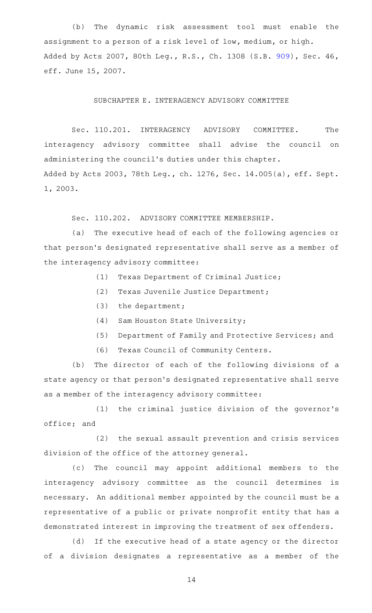(b) The dynamic risk assessment tool must enable the assignment to a person of a risk level of low, medium, or high. Added by Acts 2007, 80th Leg., R.S., Ch. 1308 (S.B. [909\)](http://www.legis.state.tx.us/tlodocs/80R/billtext/html/SB00909F.HTM), Sec. 46, eff. June 15, 2007.

### SUBCHAPTER E. INTERAGENCY ADVISORY COMMITTEE

Sec. 110.201. INTERAGENCY ADVISORY COMMITTEE. The interagency advisory committee shall advise the council on administering the council 's duties under this chapter. Added by Acts 2003, 78th Leg., ch. 1276, Sec. 14.005(a), eff. Sept. 1, 2003.

Sec. 110.202. ADVISORY COMMITTEE MEMBERSHIP.

(a) The executive head of each of the following agencies or that person 's designated representative shall serve as a member of the interagency advisory committee:

- (1) Texas Department of Criminal Justice;
- (2) Texas Juvenile Justice Department;
- $(3)$  the department;
- (4) Sam Houston State University;
- (5) Department of Family and Protective Services; and
- (6) Texas Council of Community Centers.

(b) The director of each of the following divisions of a state agency or that person 's designated representative shall serve as a member of the interagency advisory committee:

(1) the criminal justice division of the governor's office; and

(2) the sexual assault prevention and crisis services division of the office of the attorney general.

(c) The council may appoint additional members to the interagency advisory committee as the council determines is necessary. An additional member appointed by the council must be a representative of a public or private nonprofit entity that has a demonstrated interest in improving the treatment of sex offenders.

(d) If the executive head of a state agency or the director of a division designates a representative as a member of the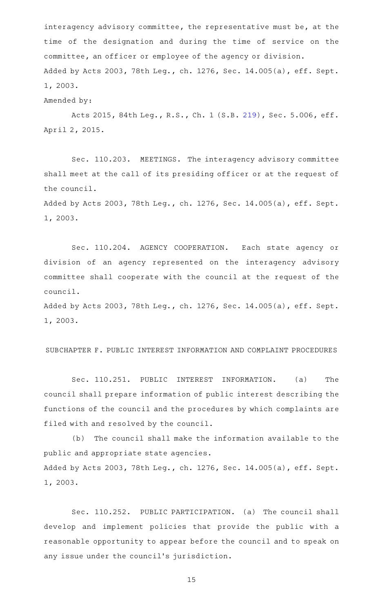interagency advisory committee, the representative must be, at the time of the designation and during the time of service on the committee, an officer or employee of the agency or division. Added by Acts 2003, 78th Leg., ch. 1276, Sec. 14.005(a), eff. Sept. 1, 2003.

Amended by:

Acts 2015, 84th Leg., R.S., Ch. 1 (S.B. [219](http://www.legis.state.tx.us/tlodocs/84R/billtext/html/SB00219F.HTM)), Sec. 5.006, eff. April 2, 2015.

Sec. 110.203. MEETINGS. The interagency advisory committee shall meet at the call of its presiding officer or at the request of the council.

Added by Acts 2003, 78th Leg., ch. 1276, Sec. 14.005(a), eff. Sept. 1, 2003.

Sec. 110.204. AGENCY COOPERATION. Each state agency or division of an agency represented on the interagency advisory committee shall cooperate with the council at the request of the council.

Added by Acts 2003, 78th Leg., ch. 1276, Sec. 14.005(a), eff. Sept. 1, 2003.

### SUBCHAPTER F. PUBLIC INTEREST INFORMATION AND COMPLAINT PROCEDURES

Sec. 110.251. PUBLIC INTEREST INFORMATION. (a) The council shall prepare information of public interest describing the functions of the council and the procedures by which complaints are filed with and resolved by the council.

(b) The council shall make the information available to the public and appropriate state agencies. Added by Acts 2003, 78th Leg., ch. 1276, Sec. 14.005(a), eff. Sept. 1, 2003.

Sec. 110.252. PUBLIC PARTICIPATION. (a) The council shall develop and implement policies that provide the public with a reasonable opportunity to appear before the council and to speak on any issue under the council's jurisdiction.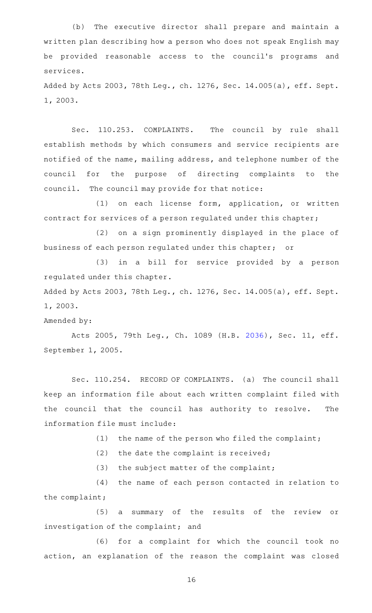(b) The executive director shall prepare and maintain a written plan describing how a person who does not speak English may be provided reasonable access to the council 's programs and services.

Added by Acts 2003, 78th Leg., ch. 1276, Sec. 14.005(a), eff. Sept. 1, 2003.

Sec. 110.253. COMPLAINTS. The council by rule shall establish methods by which consumers and service recipients are notified of the name, mailing address, and telephone number of the council for the purpose of directing complaints to the council. The council may provide for that notice:

(1) on each license form, application, or written contract for services of a person regulated under this chapter;

(2) on a sign prominently displayed in the place of business of each person regulated under this chapter; or

(3) in a bill for service provided by a person regulated under this chapter.

Added by Acts 2003, 78th Leg., ch. 1276, Sec. 14.005(a), eff. Sept. 1, 2003.

#### Amended by:

Acts 2005, 79th Leg., Ch. 1089 (H.B. [2036](http://www.legis.state.tx.us/tlodocs/79R/billtext/html/HB02036F.HTM)), Sec. 11, eff. September 1, 2005.

Sec. 110.254. RECORD OF COMPLAINTS. (a) The council shall keep an information file about each written complaint filed with the council that the council has authority to resolve. The information file must include:

(1) the name of the person who filed the complaint;

 $(2)$  the date the complaint is received;

 $(3)$  the subject matter of the complaint;

(4) the name of each person contacted in relation to the complaint;

(5) a summary of the results of the review or investigation of the complaint; and

(6) for a complaint for which the council took no action, an explanation of the reason the complaint was closed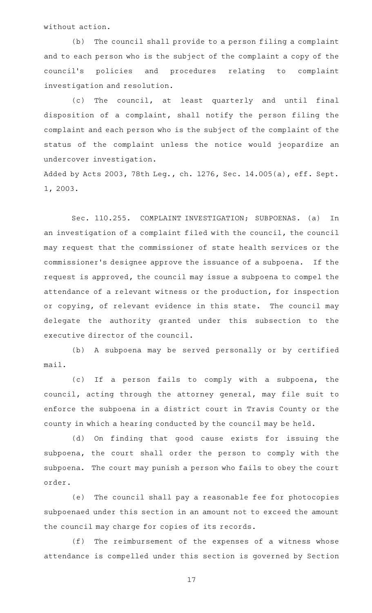without action.

(b) The council shall provide to a person filing a complaint and to each person who is the subject of the complaint a copy of the council 's policies and procedures relating to complaint investigation and resolution.

(c) The council, at least quarterly and until final disposition of a complaint, shall notify the person filing the complaint and each person who is the subject of the complaint of the status of the complaint unless the notice would jeopardize an undercover investigation.

Added by Acts 2003, 78th Leg., ch. 1276, Sec. 14.005(a), eff. Sept. 1, 2003.

Sec. 110.255. COMPLAINT INVESTIGATION; SUBPOENAS. (a) In an investigation of a complaint filed with the council, the council may request that the commissioner of state health services or the commissioner's designee approve the issuance of a subpoena. If the request is approved, the council may issue a subpoena to compel the attendance of a relevant witness or the production, for inspection or copying, of relevant evidence in this state. The council may delegate the authority granted under this subsection to the executive director of the council.

(b) A subpoena may be served personally or by certified mail.

(c) If a person fails to comply with a subpoena, the council, acting through the attorney general, may file suit to enforce the subpoena in a district court in Travis County or the county in which a hearing conducted by the council may be held.

(d) On finding that good cause exists for issuing the subpoena, the court shall order the person to comply with the subpoena. The court may punish a person who fails to obey the court order.

(e) The council shall pay a reasonable fee for photocopies subpoenaed under this section in an amount not to exceed the amount the council may charge for copies of its records.

(f) The reimbursement of the expenses of a witness whose attendance is compelled under this section is governed by Section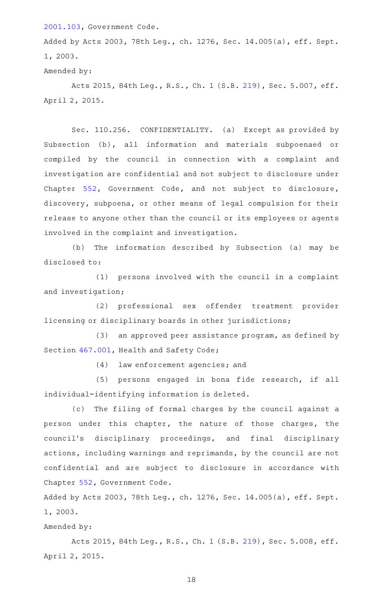[2001.103](http://www.statutes.legis.state.tx.us/GetStatute.aspx?Code=GV&Value=2001.103), Government Code.

Added by Acts 2003, 78th Leg., ch. 1276, Sec. 14.005(a), eff. Sept. 1, 2003.

Amended by:

Acts 2015, 84th Leg., R.S., Ch. 1 (S.B. [219](http://www.legis.state.tx.us/tlodocs/84R/billtext/html/SB00219F.HTM)), Sec. 5.007, eff. April 2, 2015.

Sec. 110.256. CONFIDENTIALITY. (a) Except as provided by Subsection (b), all information and materials subpoenaed or compiled by the council in connection with a complaint and investigation are confidential and not subject to disclosure under Chapter [552](http://www.statutes.legis.state.tx.us/GetStatute.aspx?Code=GV&Value=552), Government Code, and not subject to disclosure, discovery, subpoena, or other means of legal compulsion for their release to anyone other than the council or its employees or agents involved in the complaint and investigation.

(b) The information described by Subsection (a) may be disclosed to:

 $(1)$  persons involved with the council in a complaint and investigation;

(2) professional sex offender treatment provider licensing or disciplinary boards in other jurisdictions;

(3) an approved peer assistance program, as defined by Section [467.001,](http://www.statutes.legis.state.tx.us/GetStatute.aspx?Code=HS&Value=467.001) Health and Safety Code;

(4) law enforcement agencies; and

(5) persons engaged in bona fide research, if all individual-identifying information is deleted.

(c) The filing of formal charges by the council against a person under this chapter, the nature of those charges, the council 's disciplinary proceedings, and final disciplinary actions, including warnings and reprimands, by the council are not confidential and are subject to disclosure in accordance with Chapter [552,](http://www.statutes.legis.state.tx.us/GetStatute.aspx?Code=GV&Value=552) Government Code.

Added by Acts 2003, 78th Leg., ch. 1276, Sec. 14.005(a), eff. Sept. 1, 2003.

Amended by:

Acts 2015, 84th Leg., R.S., Ch. 1 (S.B. [219](http://www.legis.state.tx.us/tlodocs/84R/billtext/html/SB00219F.HTM)), Sec. 5.008, eff. April 2, 2015.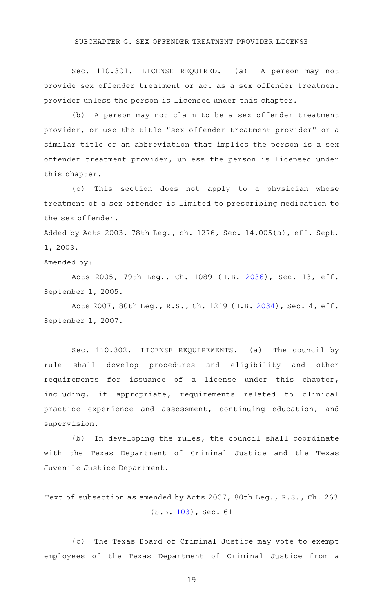Sec. 110.301. LICENSE REQUIRED. (a) A person may not provide sex offender treatment or act as a sex offender treatment provider unless the person is licensed under this chapter.

(b) A person may not claim to be a sex offender treatment provider, or use the title "sex offender treatment provider" or a similar title or an abbreviation that implies the person is a sex offender treatment provider, unless the person is licensed under this chapter.

(c) This section does not apply to a physician whose treatment of a sex offender is limited to prescribing medication to the sex offender.

Added by Acts 2003, 78th Leg., ch. 1276, Sec. 14.005(a), eff. Sept. 1, 2003.

Amended by:

Acts 2005, 79th Leg., Ch. 1089 (H.B. [2036](http://www.legis.state.tx.us/tlodocs/79R/billtext/html/HB02036F.HTM)), Sec. 13, eff. September 1, 2005.

Acts 2007, 80th Leg., R.S., Ch. 1219 (H.B. [2034](http://www.legis.state.tx.us/tlodocs/80R/billtext/html/HB02034F.HTM)), Sec. 4, eff. September 1, 2007.

Sec. 110.302. LICENSE REQUIREMENTS. (a) The council by rule shall develop procedures and eligibility and other requirements for issuance of a license under this chapter, including, if appropriate, requirements related to clinical practice experience and assessment, continuing education, and supervision.

 $(b)$  In developing the rules, the council shall coordinate with the Texas Department of Criminal Justice and the Texas Juvenile Justice Department.

Text of subsection as amended by Acts 2007, 80th Leg., R.S., Ch. 263 (S.B. [103](http://www.legis.state.tx.us/tlodocs/80R/billtext/html/SB00103F.HTM)), Sec. 61

(c) The Texas Board of Criminal Justice may vote to exempt employees of the Texas Department of Criminal Justice from a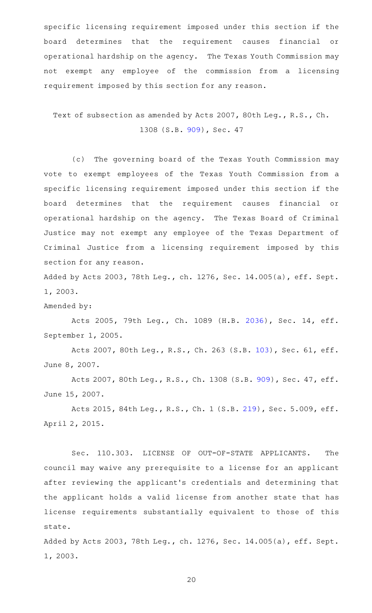specific licensing requirement imposed under this section if the board determines that the requirement causes financial or operational hardship on the agency. The Texas Youth Commission may not exempt any employee of the commission from a licensing requirement imposed by this section for any reason.

Text of subsection as amended by Acts 2007, 80th Leg., R.S., Ch. 1308 (S.B. [909](http://www.legis.state.tx.us/tlodocs/80R/billtext/html/SB00909F.HTM)), Sec. 47

(c) The governing board of the Texas Youth Commission may vote to exempt employees of the Texas Youth Commission from a specific licensing requirement imposed under this section if the board determines that the requirement causes financial or operational hardship on the agency. The Texas Board of Criminal Justice may not exempt any employee of the Texas Department of Criminal Justice from a licensing requirement imposed by this section for any reason.

Added by Acts 2003, 78th Leg., ch. 1276, Sec. 14.005(a), eff. Sept. 1, 2003.

Amended by:

Acts 2005, 79th Leg., Ch. 1089 (H.B. [2036](http://www.legis.state.tx.us/tlodocs/79R/billtext/html/HB02036F.HTM)), Sec. 14, eff. September 1, 2005.

Acts 2007, 80th Leg., R.S., Ch. 263 (S.B. [103\)](http://www.legis.state.tx.us/tlodocs/80R/billtext/html/SB00103F.HTM), Sec. 61, eff. June 8, 2007.

Acts 2007, 80th Leg., R.S., Ch. 1308 (S.B. [909\)](http://www.legis.state.tx.us/tlodocs/80R/billtext/html/SB00909F.HTM), Sec. 47, eff. June 15, 2007.

Acts 2015, 84th Leg., R.S., Ch. 1 (S.B. [219](http://www.legis.state.tx.us/tlodocs/84R/billtext/html/SB00219F.HTM)), Sec. 5.009, eff. April 2, 2015.

Sec. 110.303. LICENSE OF OUT-OF-STATE APPLICANTS. The council may waive any prerequisite to a license for an applicant after reviewing the applicant 's credentials and determining that the applicant holds a valid license from another state that has license requirements substantially equivalent to those of this state.

Added by Acts 2003, 78th Leg., ch. 1276, Sec. 14.005(a), eff. Sept. 1, 2003.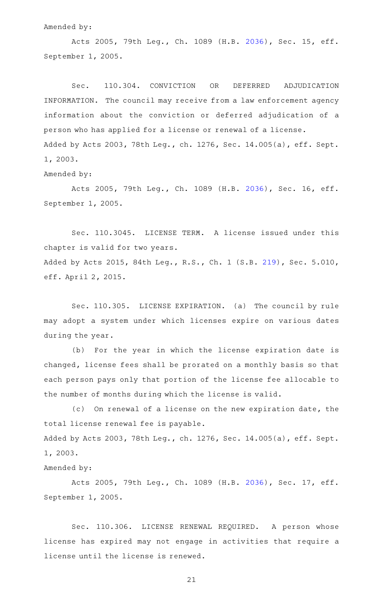Amended by:

Acts 2005, 79th Leg., Ch. 1089 (H.B. [2036](http://www.legis.state.tx.us/tlodocs/79R/billtext/html/HB02036F.HTM)), Sec. 15, eff. September 1, 2005.

Sec. 110.304. CONVICTION OR DEFERRED ADJUDICATION INFORMATION. The council may receive from a law enforcement agency information about the conviction or deferred adjudication of a person who has applied for a license or renewal of a license. Added by Acts 2003, 78th Leg., ch. 1276, Sec. 14.005(a), eff. Sept. 1, 2003.

Amended by:

Acts 2005, 79th Leg., Ch. 1089 (H.B. [2036](http://www.legis.state.tx.us/tlodocs/79R/billtext/html/HB02036F.HTM)), Sec. 16, eff. September 1, 2005.

Sec. 110.3045. LICENSE TERM. A license issued under this chapter is valid for two years. Added by Acts 2015, 84th Leg., R.S., Ch. 1 (S.B. [219](http://www.legis.state.tx.us/tlodocs/84R/billtext/html/SB00219F.HTM)), Sec. 5.010, eff. April 2, 2015.

Sec. 110.305. LICENSE EXPIRATION. (a) The council by rule may adopt a system under which licenses expire on various dates during the year.

(b) For the year in which the license expiration date is changed, license fees shall be prorated on a monthly basis so that each person pays only that portion of the license fee allocable to the number of months during which the license is valid.

(c) On renewal of a license on the new expiration date, the total license renewal fee is payable. Added by Acts 2003, 78th Leg., ch. 1276, Sec. 14.005(a), eff. Sept. 1, 2003.

Amended by:

Acts 2005, 79th Leg., Ch. 1089 (H.B. [2036](http://www.legis.state.tx.us/tlodocs/79R/billtext/html/HB02036F.HTM)), Sec. 17, eff. September 1, 2005.

Sec. 110.306. LICENSE RENEWAL REQUIRED. A person whose license has expired may not engage in activities that require a license until the license is renewed.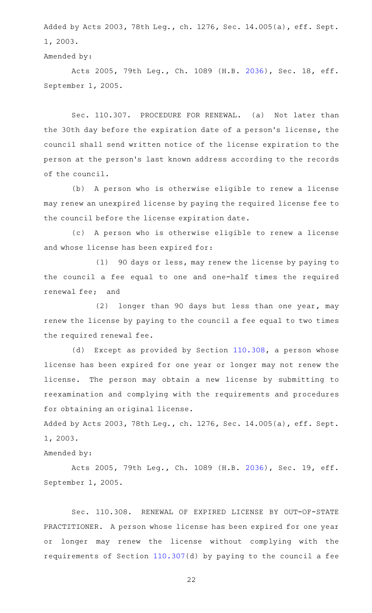Added by Acts 2003, 78th Leg., ch. 1276, Sec. 14.005(a), eff. Sept. 1, 2003.

Amended by:

Acts 2005, 79th Leg., Ch. 1089 (H.B. [2036](http://www.legis.state.tx.us/tlodocs/79R/billtext/html/HB02036F.HTM)), Sec. 18, eff. September 1, 2005.

Sec. 110.307. PROCEDURE FOR RENEWAL. (a) Not later than the 30th day before the expiration date of a person's license, the council shall send written notice of the license expiration to the person at the person 's last known address according to the records of the council.

(b) A person who is otherwise eligible to renew a license may renew an unexpired license by paying the required license fee to the council before the license expiration date.

(c) A person who is otherwise eligible to renew a license and whose license has been expired for:

(1) 90 days or less, may renew the license by paying to the council a fee equal to one and one-half times the required renewal fee; and

 $(2)$  longer than 90 days but less than one year, may renew the license by paying to the council a fee equal to two times the required renewal fee.

(d) Except as provided by Section [110.308](http://www.statutes.legis.state.tx.us/GetStatute.aspx?Code=OC&Value=110.308), a person whose license has been expired for one year or longer may not renew the license. The person may obtain a new license by submitting to reexamination and complying with the requirements and procedures for obtaining an original license.

Added by Acts 2003, 78th Leg., ch. 1276, Sec. 14.005(a), eff. Sept. 1, 2003.

# Amended by:

Acts 2005, 79th Leg., Ch. 1089 (H.B. [2036](http://www.legis.state.tx.us/tlodocs/79R/billtext/html/HB02036F.HTM)), Sec. 19, eff. September 1, 2005.

Sec. 110.308. RENEWAL OF EXPIRED LICENSE BY OUT-OF-STATE PRACTITIONER. A person whose license has been expired for one year or longer may renew the license without complying with the requirements of Section [110.307\(](http://www.statutes.legis.state.tx.us/GetStatute.aspx?Code=OC&Value=110.307)d) by paying to the council a fee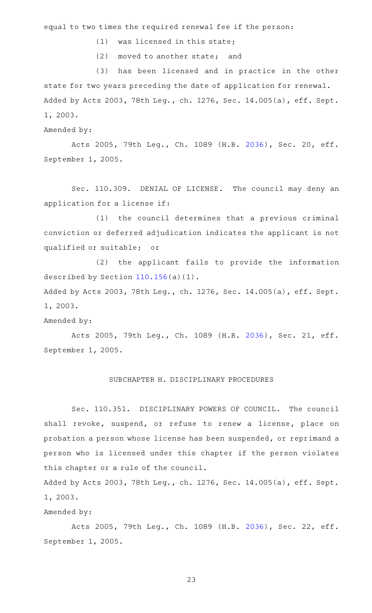equal to two times the required renewal fee if the person:

- $(1)$  was licensed in this state;
- (2) moved to another state; and

(3) has been licensed and in practice in the other state for two years preceding the date of application for renewal. Added by Acts 2003, 78th Leg., ch. 1276, Sec. 14.005(a), eff. Sept. 1, 2003.

Amended by:

Acts 2005, 79th Leg., Ch. 1089 (H.B. [2036](http://www.legis.state.tx.us/tlodocs/79R/billtext/html/HB02036F.HTM)), Sec. 20, eff. September 1, 2005.

Sec. 110.309. DENIAL OF LICENSE. The council may deny an application for a license if:

(1) the council determines that a previous criminal conviction or deferred adjudication indicates the applicant is not qualified or suitable; or

(2) the applicant fails to provide the information described by Section [110.156\(](http://www.statutes.legis.state.tx.us/GetStatute.aspx?Code=OC&Value=110.156)a)(1).

Added by Acts 2003, 78th Leg., ch. 1276, Sec. 14.005(a), eff. Sept. 1, 2003.

#### Amended by:

Acts 2005, 79th Leg., Ch. 1089 (H.B. [2036](http://www.legis.state.tx.us/tlodocs/79R/billtext/html/HB02036F.HTM)), Sec. 21, eff. September 1, 2005.

#### SUBCHAPTER H. DISCIPLINARY PROCEDURES

Sec. 110.351. DISCIPLINARY POWERS OF COUNCIL. The council shall revoke, suspend, or refuse to renew a license, place on probation a person whose license has been suspended, or reprimand a person who is licensed under this chapter if the person violates this chapter or a rule of the council.

Added by Acts 2003, 78th Leg., ch. 1276, Sec. 14.005(a), eff. Sept. 1, 2003.

# Amended by:

Acts 2005, 79th Leg., Ch. 1089 (H.B. [2036](http://www.legis.state.tx.us/tlodocs/79R/billtext/html/HB02036F.HTM)), Sec. 22, eff. September 1, 2005.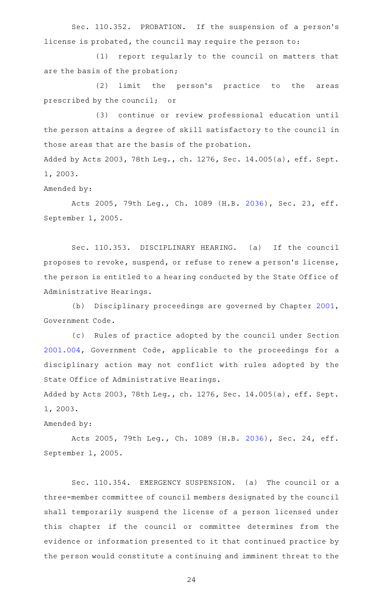Sec. 110.352. PROBATION. If the suspension of a person's license is probated, the council may require the person to:

(1) report regularly to the council on matters that are the basis of the probation;

(2) limit the person's practice to the areas prescribed by the council; or

(3) continue or review professional education until the person attains a degree of skill satisfactory to the council in those areas that are the basis of the probation.

Added by Acts 2003, 78th Leg., ch. 1276, Sec. 14.005(a), eff. Sept. 1, 2003.

Amended by:

Acts 2005, 79th Leg., Ch. 1089 (H.B. [2036](http://www.legis.state.tx.us/tlodocs/79R/billtext/html/HB02036F.HTM)), Sec. 23, eff. September 1, 2005.

Sec. 110.353. DISCIPLINARY HEARING. (a) If the council proposes to revoke, suspend, or refuse to renew a person's license, the person is entitled to a hearing conducted by the State Office of Administrative Hearings.

(b) Disciplinary proceedings are governed by Chapter [2001](http://www.statutes.legis.state.tx.us/GetStatute.aspx?Code=GV&Value=2001), Government Code.

(c) Rules of practice adopted by the council under Section [2001.004](http://www.statutes.legis.state.tx.us/GetStatute.aspx?Code=GV&Value=2001.004), Government Code, applicable to the proceedings for a disciplinary action may not conflict with rules adopted by the State Office of Administrative Hearings.

Added by Acts 2003, 78th Leg., ch. 1276, Sec. 14.005(a), eff. Sept. 1, 2003.

Amended by:

Acts 2005, 79th Leg., Ch. 1089 (H.B. [2036](http://www.legis.state.tx.us/tlodocs/79R/billtext/html/HB02036F.HTM)), Sec. 24, eff. September 1, 2005.

Sec. 110.354. EMERGENCY SUSPENSION. (a) The council or a three-member committee of council members designated by the council shall temporarily suspend the license of a person licensed under this chapter if the council or committee determines from the evidence or information presented to it that continued practice by the person would constitute a continuing and imminent threat to the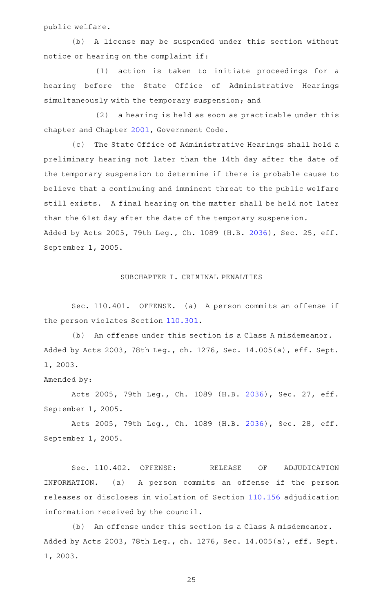public welfare.

(b) A license may be suspended under this section without notice or hearing on the complaint if:

(1) action is taken to initiate proceedings for a hearing before the State Office of Administrative Hearings simultaneously with the temporary suspension; and

 $(2)$  a hearing is held as soon as practicable under this chapter and Chapter [2001,](http://www.statutes.legis.state.tx.us/GetStatute.aspx?Code=GV&Value=2001) Government Code.

(c) The State Office of Administrative Hearings shall hold a preliminary hearing not later than the 14th day after the date of the temporary suspension to determine if there is probable cause to believe that a continuing and imminent threat to the public welfare still exists. A final hearing on the matter shall be held not later than the 61st day after the date of the temporary suspension. Added by Acts 2005, 79th Leg., Ch. 1089 (H.B. [2036](http://www.legis.state.tx.us/tlodocs/79R/billtext/html/HB02036F.HTM)), Sec. 25, eff. September 1, 2005.

# SUBCHAPTER I. CRIMINAL PENALTIES

Sec. 110.401. OFFENSE. (a) A person commits an offense if the person violates Section [110.301](http://www.statutes.legis.state.tx.us/GetStatute.aspx?Code=OC&Value=110.301).

(b) An offense under this section is a Class A misdemeanor. Added by Acts 2003, 78th Leg., ch. 1276, Sec. 14.005(a), eff. Sept. 1, 2003.

Amended by:

Acts 2005, 79th Leg., Ch. 1089 (H.B. [2036](http://www.legis.state.tx.us/tlodocs/79R/billtext/html/HB02036F.HTM)), Sec. 27, eff. September 1, 2005.

Acts 2005, 79th Leg., Ch. 1089 (H.B. [2036](http://www.legis.state.tx.us/tlodocs/79R/billtext/html/HB02036F.HTM)), Sec. 28, eff. September 1, 2005.

Sec. 110.402. OFFENSE: RELEASE OF ADJUDICATION INFORMATION. (a) A person commits an offense if the person releases or discloses in violation of Section [110.156](http://www.statutes.legis.state.tx.us/GetStatute.aspx?Code=OC&Value=110.156) adjudication information received by the council.

(b) An offense under this section is a Class A misdemeanor. Added by Acts 2003, 78th Leg., ch. 1276, Sec. 14.005(a), eff. Sept. 1, 2003.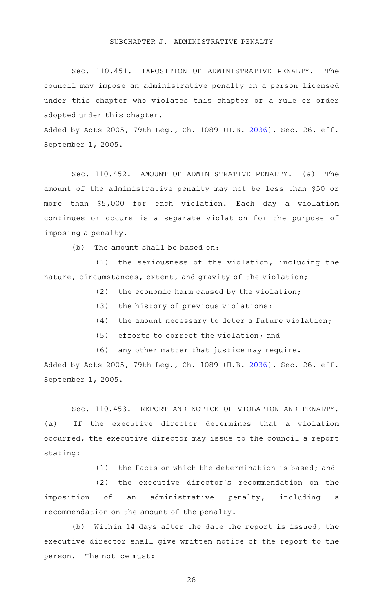#### SUBCHAPTER J. ADMINISTRATIVE PENALTY

Sec. 110.451. IMPOSITION OF ADMINISTRATIVE PENALTY. The council may impose an administrative penalty on a person licensed under this chapter who violates this chapter or a rule or order adopted under this chapter.

Added by Acts 2005, 79th Leg., Ch. 1089 (H.B. [2036](http://www.legis.state.tx.us/tlodocs/79R/billtext/html/HB02036F.HTM)), Sec. 26, eff. September 1, 2005.

Sec. 110.452. AMOUNT OF ADMINISTRATIVE PENALTY. (a) The amount of the administrative penalty may not be less than \$50 or more than \$5,000 for each violation. Each day a violation continues or occurs is a separate violation for the purpose of imposing a penalty.

 $(b)$  The amount shall be based on:

 $(1)$  the seriousness of the violation, including the nature, circumstances, extent, and gravity of the violation;

 $(2)$  the economic harm caused by the violation;

- (3) the history of previous violations;
- $(4)$  the amount necessary to deter a future violation;
- (5) efforts to correct the violation; and
- (6) any other matter that justice may require.

Added by Acts 2005, 79th Leg., Ch. 1089 (H.B. [2036](http://www.legis.state.tx.us/tlodocs/79R/billtext/html/HB02036F.HTM)), Sec. 26, eff. September 1, 2005.

Sec. 110.453. REPORT AND NOTICE OF VIOLATION AND PENALTY. (a) If the executive director determines that a violation occurred, the executive director may issue to the council a report stating:

 $(1)$  the facts on which the determination is based; and

(2) the executive director's recommendation on the imposition of an administrative penalty, including a recommendation on the amount of the penalty.

(b) Within 14 days after the date the report is issued, the executive director shall give written notice of the report to the person. The notice must: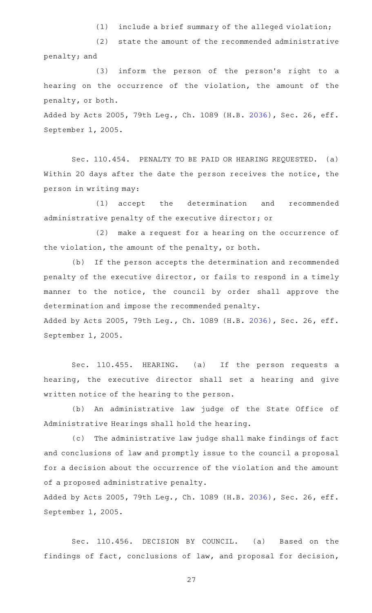$(1)$  include a brief summary of the alleged violation;

(2) state the amount of the recommended administrative penalty; and

 $(3)$  inform the person of the person's right to a hearing on the occurrence of the violation, the amount of the penalty, or both.

Added by Acts 2005, 79th Leg., Ch. 1089 (H.B. [2036](http://www.legis.state.tx.us/tlodocs/79R/billtext/html/HB02036F.HTM)), Sec. 26, eff. September 1, 2005.

Sec. 110.454. PENALTY TO BE PAID OR HEARING REQUESTED. (a) Within 20 days after the date the person receives the notice, the person in writing may:

(1) accept the determination and recommended administrative penalty of the executive director; or

 $(2)$  make a request for a hearing on the occurrence of the violation, the amount of the penalty, or both.

(b) If the person accepts the determination and recommended penalty of the executive director, or fails to respond in a timely manner to the notice, the council by order shall approve the determination and impose the recommended penalty. Added by Acts 2005, 79th Leg., Ch. 1089 (H.B. [2036](http://www.legis.state.tx.us/tlodocs/79R/billtext/html/HB02036F.HTM)), Sec. 26, eff.

September 1, 2005.

Sec. 110.455. HEARING. (a) If the person requests a hearing, the executive director shall set a hearing and give written notice of the hearing to the person.

(b) An administrative law judge of the State Office of Administrative Hearings shall hold the hearing.

(c) The administrative law judge shall make findings of fact and conclusions of law and promptly issue to the council a proposal for a decision about the occurrence of the violation and the amount of a proposed administrative penalty.

Added by Acts 2005, 79th Leg., Ch. 1089 (H.B. [2036](http://www.legis.state.tx.us/tlodocs/79R/billtext/html/HB02036F.HTM)), Sec. 26, eff. September 1, 2005.

Sec. 110.456. DECISION BY COUNCIL. (a) Based on the findings of fact, conclusions of law, and proposal for decision,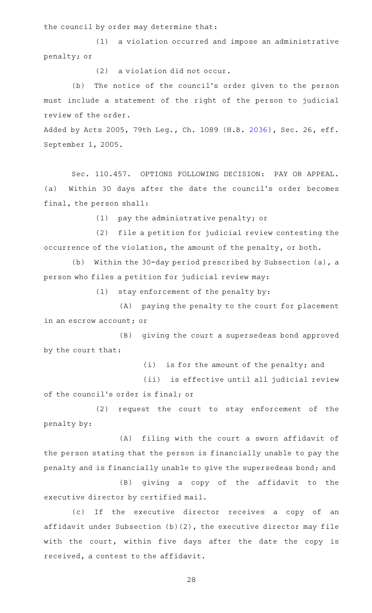the council by order may determine that:

 $(1)$  a violation occurred and impose an administrative penalty; or

 $(2)$  a violation did not occur.

(b) The notice of the council's order given to the person must include a statement of the right of the person to judicial review of the order.

Added by Acts 2005, 79th Leg., Ch. 1089 (H.B. [2036](http://www.legis.state.tx.us/tlodocs/79R/billtext/html/HB02036F.HTM)), Sec. 26, eff. September 1, 2005.

Sec. 110.457. OPTIONS FOLLOWING DECISION: PAY OR APPEAL. (a) Within 30 days after the date the council 's order becomes final, the person shall:

 $(1)$  pay the administrative penalty; or

(2) file a petition for judicial review contesting the occurrence of the violation, the amount of the penalty, or both.

(b) Within the 30-day period prescribed by Subsection (a), a person who files a petition for judicial review may:

 $(1)$  stay enforcement of the penalty by:

(A) paying the penalty to the court for placement in an escrow account; or

(B) giving the court a supersedeas bond approved by the court that:

 $(i)$  is for the amount of the penalty; and

(ii) is effective until all judicial review of the council 's order is final; or

(2) request the court to stay enforcement of the penalty by:

(A) filing with the court a sworn affidavit of the person stating that the person is financially unable to pay the penalty and is financially unable to give the supersedeas bond; and

(B) giving a copy of the affidavit to the executive director by certified mail.

(c) If the executive director receives a copy of an affidavit under Subsection (b)(2), the executive director may file with the court, within five days after the date the copy is received, a contest to the affidavit.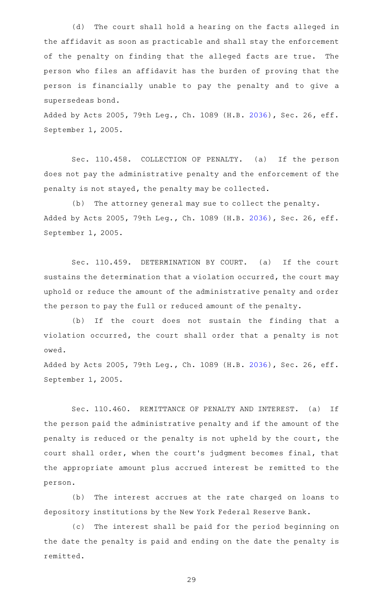(d) The court shall hold a hearing on the facts alleged in the affidavit as soon as practicable and shall stay the enforcement of the penalty on finding that the alleged facts are true. The person who files an affidavit has the burden of proving that the person is financially unable to pay the penalty and to give a supersedeas bond.

Added by Acts 2005, 79th Leg., Ch. 1089 (H.B. [2036](http://www.legis.state.tx.us/tlodocs/79R/billtext/html/HB02036F.HTM)), Sec. 26, eff. September 1, 2005.

Sec. 110.458. COLLECTION OF PENALTY. (a) If the person does not pay the administrative penalty and the enforcement of the penalty is not stayed, the penalty may be collected.

(b) The attorney general may sue to collect the penalty. Added by Acts 2005, 79th Leg., Ch. 1089 (H.B. [2036](http://www.legis.state.tx.us/tlodocs/79R/billtext/html/HB02036F.HTM)), Sec. 26, eff. September 1, 2005.

Sec. 110.459. DETERMINATION BY COURT. (a) If the court sustains the determination that a violation occurred, the court may uphold or reduce the amount of the administrative penalty and order the person to pay the full or reduced amount of the penalty.

(b) If the court does not sustain the finding that a violation occurred, the court shall order that a penalty is not owed.

Added by Acts 2005, 79th Leg., Ch. 1089 (H.B. [2036](http://www.legis.state.tx.us/tlodocs/79R/billtext/html/HB02036F.HTM)), Sec. 26, eff. September 1, 2005.

Sec. 110.460. REMITTANCE OF PENALTY AND INTEREST. (a) If the person paid the administrative penalty and if the amount of the penalty is reduced or the penalty is not upheld by the court, the court shall order, when the court 's judgment becomes final, that the appropriate amount plus accrued interest be remitted to the person.

(b) The interest accrues at the rate charged on loans to depository institutions by the New York Federal Reserve Bank.

(c) The interest shall be paid for the period beginning on the date the penalty is paid and ending on the date the penalty is remitted.